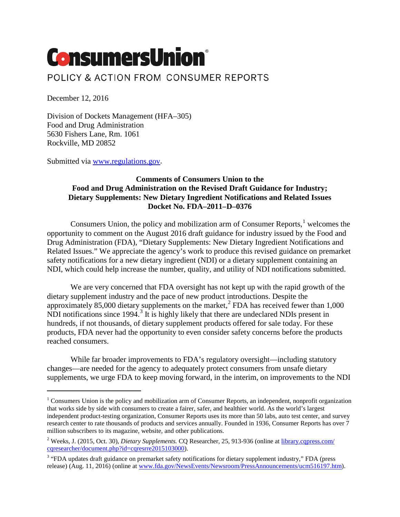# **ConsumersUnion**® POLICY & ACTION FROM CONSUMER REPORTS

December 12, 2016

 $\overline{a}$ 

Division of Dockets Management (HFA–305) Food and Drug Administration 5630 Fishers Lane, Rm. 1061 Rockville, MD 20852

Submitted via [www.regulations.gov.](http://www.regulations.gov/)

# **Comments of Consumers Union to the Food and Drug Administration on the Revised Draft Guidance for Industry; Dietary Supplements: New Dietary Ingredient Notifications and Related Issues Docket No. FDA–2011–D–0376**

Consumers Union, the policy and mobilization arm of Consumer Reports, $<sup>1</sup>$  $<sup>1</sup>$  $<sup>1</sup>$  welcomes the</sup> opportunity to comment on the August 2016 draft guidance for industry issued by the Food and Drug Administration (FDA), "Dietary Supplements: New Dietary Ingredient Notifications and Related Issues." We appreciate the agency's work to produce this revised guidance on premarket safety notifications for a new dietary ingredient (NDI) or a dietary supplement containing an NDI, which could help increase the number, quality, and utility of NDI notifications submitted.

We are very concerned that FDA oversight has not kept up with the rapid growth of the dietary supplement industry and the pace of new product introductions. Despite the approximately 85,000 dietary supplements on the market,<sup>[2](#page-0-1)</sup> FDA has received fewer than  $1,000$ NDI notifications since 1994.<sup>[3](#page-0-2)</sup> It is highly likely that there are undeclared NDIs present in hundreds, if not thousands, of dietary supplement products offered for sale today. For these products, FDA never had the opportunity to even consider safety concerns before the products reached consumers.

While far broader improvements to FDA's regulatory oversight—including statutory changes—are needed for the agency to adequately protect consumers from unsafe dietary supplements, we urge FDA to keep moving forward, in the interim, on improvements to the NDI

<span id="page-0-0"></span><sup>&</sup>lt;sup>1</sup> Consumers Union is the policy and mobilization arm of Consumer Reports, an independent, nonprofit organization that works side by side with consumers to create a fairer, safer, and healthier world. As the world's largest independent product-testing organization, Consumer Reports uses its more than 50 labs, auto test center, and survey research center to rate thousands of products and services annually. Founded in 1936, Consumer Reports has over 7 million subscribers to its magazine, website, and other publications.

<span id="page-0-1"></span><sup>&</sup>lt;sup>2</sup> Weeks, J. (2015, Oct. 30), *Dietary Supplements.* CQ Researcher, 25, 913-936 (online a[t library.cqpress.com/](http://library.cqpress.com/cqresearcher/document.php?id=cqresrre2015103000) [cqresearcher/document.php?id=cqresrre2015103000\)](http://library.cqpress.com/cqresearcher/document.php?id=cqresrre2015103000).

<span id="page-0-2"></span><sup>&</sup>lt;sup>3</sup> "FDA updates draft guidance on premarket safety notifications for dietary supplement industry," FDA (press release) (Aug. 11, 2016) (online a[t www.fda.gov/NewsEvents/Newsroom/PressAnnouncements/ucm516197.htm\)](http://www.fda.gov/NewsEvents/Newsroom/PressAnnouncements/ucm516197.htm).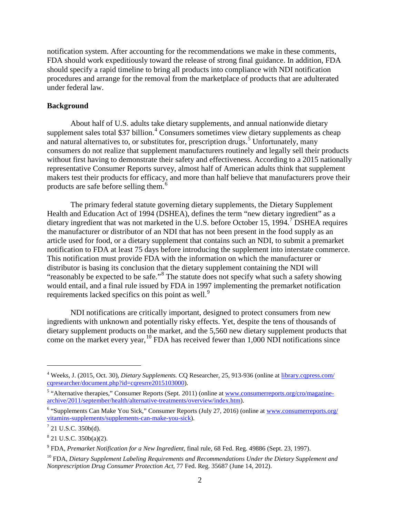notification system. After accounting for the recommendations we make in these comments, FDA should work expeditiously toward the release of strong final guidance. In addition, FDA should specify a rapid timeline to bring all products into compliance with NDI notification procedures and arrange for the removal from the marketplace of products that are adulterated under federal law.

#### **Background**

About half of U.S. adults take dietary supplements, and annual nationwide dietary supplement sales total \$37 billion.<sup>[4](#page-1-0)</sup> Consumers sometimes view dietary supplements as cheap and natural alternatives to, or substitutes for, prescription drugs.<sup>[5](#page-1-1)</sup> Unfortunately, many consumers do not realize that supplement manufacturers routinely and legally sell their products without first having to demonstrate their safety and effectiveness. According to a 2015 nationally representative Consumer Reports survey, almost half of American adults think that supplement makers test their products for efficacy, and more than half believe that manufacturers prove their products are safe before selling them.[6](#page-1-2)

The primary federal statute governing dietary supplements, the Dietary Supplement Health and Education Act of 1994 (DSHEA), defines the term "new dietary ingredient" as a dietary ingredient that was not marketed in the U.S. before October 15, 1994.<sup>[7](#page-1-3)</sup> DSHEA requires the manufacturer or distributor of an NDI that has not been present in the food supply as an article used for food, or a dietary supplement that contains such an NDI, to submit a premarket notification to FDA at least 75 days before introducing the supplement into interstate commerce. This notification must provide FDA with the information on which the manufacturer or distributor is basing its conclusion that the dietary supplement containing the NDI will "reasonably be expected to be safe."[8](#page-1-4) The statute does not specify what such a safety showing would entail, and a final rule issued by FDA in 1997 implementing the premarket notification requirements lacked specifics on this point as well.<sup>[9](#page-1-5)</sup>

NDI notifications are critically important, designed to protect consumers from new ingredients with unknown and potentially risky effects. Yet, despite the tens of thousands of dietary supplement products on the market, and the 5,560 new dietary supplement products that come on the market every year, <sup>[10](#page-1-6)</sup> FDA has received fewer than 1,000 NDI notifications since

<span id="page-1-0"></span><sup>4</sup> Weeks, J. (2015, Oct. 30), *Dietary Supplements.* CQ Researcher, 25, 913-936 (online a[t library.cqpress.com/](http://library.cqpress.com/cqresearcher/document.php?id=cqresrre2015103000) [cqresearcher/document.php?id=cqresrre2015103000\)](http://library.cqpress.com/cqresearcher/document.php?id=cqresrre2015103000).

<span id="page-1-1"></span><sup>&</sup>lt;sup>5</sup> "Alternative therapies," Consumer Reports (Sept. 2011) (online at [www.consumerreports.org/cro/magazine](http://www.consumerreports.org/cro/magazine-archive/2011/september/health/alternative-treatments/overview/index.htm)[archive/2011/september/health/alternative-treatments/overview/index.htm\)](http://www.consumerreports.org/cro/magazine-archive/2011/september/health/alternative-treatments/overview/index.htm).

<span id="page-1-2"></span><sup>6</sup> "Supplements Can Make You Sick," Consumer Reports (July 27, 2016) (online at [www.consumerreports.org/](http://www.consumerreports.org/vitamins-supplements/supplements-can-make-you-sick) [vitamins-supplements/supplements-can-make-you-sick\)](http://www.consumerreports.org/vitamins-supplements/supplements-can-make-you-sick).

<span id="page-1-3"></span><sup>7</sup> 21 U.S.C. 350b(d).

<span id="page-1-4"></span> $8$  21 U.S.C. 350b(a)(2).

<span id="page-1-5"></span><sup>9</sup> FDA, *Premarket Notification for a New Ingredient,* final rule, 68 Fed. Reg. 49886 (Sept. 23, 1997).

<span id="page-1-6"></span><sup>10</sup> FDA, *Dietary Supplement Labeling Requirements and Recommendations Under the Dietary Supplement and Nonprescription Drug Consumer Protection Act,* 77 Fed. Reg. 35687 (June 14, 2012).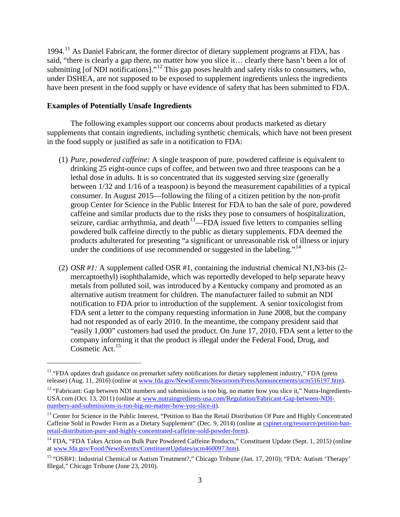$1994<sup>11</sup>$  $1994<sup>11</sup>$  $1994<sup>11</sup>$  As Daniel Fabricant, the former director of dietary supplement programs at FDA, has said, "there is clearly a gap there, no matter how you slice it… clearly there hasn't been a lot of submitting [of NDI notifications]."<sup>[12](#page-2-1)</sup> This gap poses health and safety risks to consumers, who, under DSHEA, are not supposed to be exposed to supplement ingredients unless the ingredients have been present in the food supply or have evidence of safety that has been submitted to FDA.

## **Examples of Potentially Unsafe Ingredients**

 $\overline{a}$ 

The following examples support our concerns about products marketed as dietary supplements that contain ingredients, including synthetic chemicals, which have not been present in the food supply or justified as safe in a notification to FDA:

- (1) *Pure, powdered caffeine:* A single teaspoon of pure, powdered caffeine is equivalent to drinking 25 eight-ounce cups of coffee, and between two and three teaspoons can be a lethal dose in adults. It is so concentrated that its suggested serving size (generally between 1/32 and 1/16 of a teaspoon) is beyond the measurement capabilities of a typical consumer. In August 2015—following the filing of a citizen petition by the non-profit group Center for Science in the Public Interest for FDA to ban the sale of pure, powdered caffeine and similar products due to the risks they pose to consumers of hospitalization, seizure, cardiac arrhythmia, and death<sup>[13](#page-2-2)</sup>—FDA issued five letters to companies selling powdered bulk caffeine directly to the public as dietary supplements. FDA deemed the products adulterated for presenting "a significant or unreasonable risk of illness or injury under the conditions of use recommended or suggested in the labeling."<sup>[14](#page-2-3)</sup>
- (2) *OSR #1:* A supplement called OSR #1, containing the industrial chemical N1,N3-bis (2 mercaptoethyl) isophthalamide, which was reportedly developed to help separate heavy metals from polluted soil, was introduced by a Kentucky company and promoted as an alternative autism treatment for children. The manufacturer failed to submit an NDI notification to FDA prior to introduction of the supplement. A senior toxicologist from FDA sent a letter to the company requesting information in June 2008, but the company had not responded as of early 2010. In the meantime, the company president said that "easily 1,000" customers had used the product. On June 17, 2010, FDA sent a letter to the company informing it that the product is illegal under the Federal Food, Drug, and Cosmetic Act.<sup>[15](#page-2-4)</sup>

<span id="page-2-0"></span><sup>&</sup>lt;sup>11</sup> "FDA updates draft guidance on premarket safety notifications for dietary supplement industry," FDA (press release) (Aug. 11, 2016) (online a[t www.fda.gov/NewsEvents/Newsroom/PressAnnouncements/ucm516197.htm\)](http://www.fda.gov/NewsEvents/Newsroom/PressAnnouncements/ucm516197.htm).

<span id="page-2-1"></span> $12$  "Fabricant: Gap between NDI numbers and submissions is too big, no matter how you slice it," Nutra-Ingredients-USA.com (Oct. 13, 2011) (online at [www.nutraingredients-usa.com/Regulation/Fabricant-Gap-between-NDI](http://www.nutraingredients-usa.com/Regulation/Fabricant-Gap-between-NDI-numbers-and-submissions-is-too-big-no-matter-how-you-slice-it)[numbers-and-submissions-is-too-big-no-matter-how-you-slice-it\)](http://www.nutraingredients-usa.com/Regulation/Fabricant-Gap-between-NDI-numbers-and-submissions-is-too-big-no-matter-how-you-slice-it).

<span id="page-2-2"></span><sup>&</sup>lt;sup>13</sup> Center for Science in the Public Interest, "Petition to Ban the Retail Distribution Of Pure and Highly Concentrated Caffeine Sold in Powder Form as a Dietary Supplement" (Dec. 9, 2014) (online at [cspinet.org/resource/petition-ban](https://cspinet.org/resource/petition-ban-retail-distribution-pure-and-highly-concentrated-caffeine-sold-powder-form)[retail-distribution-pure-and-highly-concentrated-caffeine-sold-powder-form\)](https://cspinet.org/resource/petition-ban-retail-distribution-pure-and-highly-concentrated-caffeine-sold-powder-form).

<span id="page-2-3"></span><sup>&</sup>lt;sup>14</sup> FDA, "FDA Takes Action on Bulk Pure Powdered Caffeine Products," Constituent Update (Sept. 1, 2015) (online a[t www.fda.gov/Food/NewsEvents/ConstituentUpdates/ucm460097.htm\)](http://www.fda.gov/Food/NewsEvents/ConstituentUpdates/ucm460097.htm).

<span id="page-2-4"></span><sup>15</sup> "OSR#1: Industrial Chemical or Autism Treatment?," Chicago Tribune (Jan. 17, 2010); "FDA: Autism 'Therapy' Illegal," Chicago Tribune (June 23, 2010).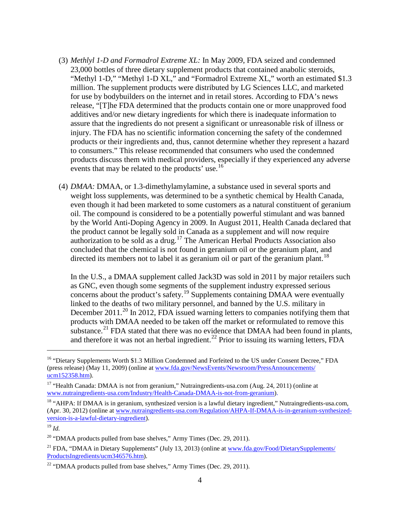- (3) *Methlyl 1-D and Formadrol Extreme XL:* In May 2009, FDA seized and condemned 23,000 bottles of three dietary supplement products that contained anabolic steroids, "Methyl 1-D," "Methyl 1-D XL," and "Formadrol Extreme XL," worth an estimated \$1.3 million. The supplement products were distributed by LG Sciences LLC, and marketed for use by bodybuilders on the internet and in retail stores. According to FDA's news release, "[T]he FDA determined that the products contain one or more unapproved food additives and/or new dietary ingredients for which there is inadequate information to assure that the ingredients do not present a significant or unreasonable risk of illness or injury. The FDA has no scientific information concerning the safety of the condemned products or their ingredients and, thus, cannot determine whether they represent a hazard to consumers." This release recommended that consumers who used the condemned products discuss them with medical providers, especially if they experienced any adverse events that may be related to the products' use.<sup>[16](#page-3-0)</sup>
- (4) *DMAA:* DMAA, or 1.3-dimethylamylamine, a substance used in several sports and weight loss supplements, was determined to be a synthetic chemical by Health Canada, even though it had been marketed to some customers as a natural constituent of geranium oil. The compound is considered to be a potentially powerful stimulant and was banned by the World Anti-Doping Agency in 2009. In August 2011, Health Canada declared that the product cannot be legally sold in Canada as a supplement and will now require authorization to be sold as a drug.<sup>[17](#page-3-1)</sup> The American Herbal Products Association also concluded that the chemical is not found in geranium oil or the geranium plant, and directed its members not to label it as geranium oil or part of the geranium plant.<sup>[18](#page-3-2)</sup>

In the U.S., a DMAA supplement called Jack3D was sold in 2011 by major retailers such as GNC, even though some segments of the supplement industry expressed serious concerns about the product's safety.[19](#page-3-3) Supplements containing DMAA were eventually linked to the deaths of two military personnel, and banned by the U.S. military in December [20](#page-3-4)11.<sup>20</sup> In 2012, FDA issued warning letters to companies notifying them that products with DMAA needed to be taken off the market or reformulated to remove this substance.<sup>[21](#page-3-5)</sup> FDA stated that there was no evidence that DMAA had been found in plants, and therefore it was not an herbal ingredient.<sup>[22](#page-3-6)</sup> Prior to issuing its warning letters, FDA

<span id="page-3-0"></span><sup>&</sup>lt;sup>16</sup> "Dietary Supplements Worth \$1.3 Million Condemned and Forfeited to the US under Consent Decree," FDA (press release) (May 11, 2009) (online at [www.fda.gov/NewsEvents/Newsroom/PressAnnouncements/](http://www.fda.gov/NewsEvents/Newsroom/PressAnnouncements/ucm152358.htm) [ucm152358.htm\)](http://www.fda.gov/NewsEvents/Newsroom/PressAnnouncements/ucm152358.htm).

<span id="page-3-1"></span><sup>&</sup>lt;sup>17</sup> "Health Canada: DMAA is not from geranium," Nutraingredients-usa.com (Aug. 24, 2011) (online at [www.nutraingredients-usa.com/Industry/Health-Canada-DMAA-is-not-from-geranium\)](http://www.nutraingredients-usa.com/Industry/Health-Canada-DMAA-is-not-from-geranium).

<span id="page-3-2"></span><sup>&</sup>lt;sup>18</sup> "AHPA: If DMAA is in geranium, synthesized version is a lawful dietary ingredient," Nutraingredients-usa.com, (Apr. 30, 2012) (online at [www.nutraingredients-usa.com/Regulation/AHPA-If-DMAA-is-in-geranium-synthesized](http://www.nutraingredients-usa.com/Regulation/AHPA-If-DMAA-is-in-geranium-synthesized-version-is-a-lawful-dietary-ingredient)[version-is-a-lawful-dietary-ingredient\)](http://www.nutraingredients-usa.com/Regulation/AHPA-If-DMAA-is-in-geranium-synthesized-version-is-a-lawful-dietary-ingredient).

<span id="page-3-3"></span><sup>19</sup> *Id.*

<span id="page-3-4"></span><sup>&</sup>lt;sup>20</sup> "DMAA products pulled from base shelves," Army Times (Dec. 29, 2011).

<span id="page-3-5"></span><sup>&</sup>lt;sup>21</sup> FDA, "DMAA in Dietary Supplements" (July 13, 2013) (online a[t www.fda.gov/Food/DietarySupplements/](http://www.fda.gov/Food/DietarySupplements/ProductsIngredients/ucm346576.htm) [ProductsIngredients/ucm346576.htm\)](http://www.fda.gov/Food/DietarySupplements/ProductsIngredients/ucm346576.htm).

<span id="page-3-6"></span> $22$  "DMAA products pulled from base shelves," Army Times (Dec. 29, 2011).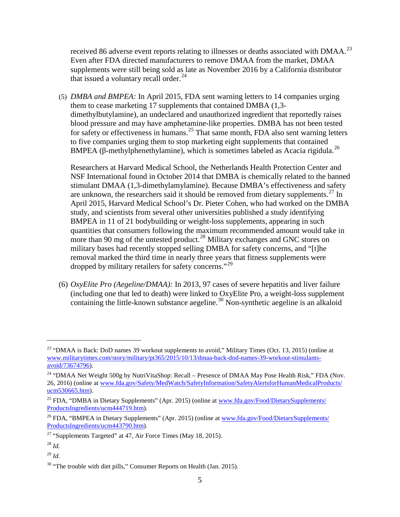received 86 adverse event reports relating to illnesses or deaths associated with DMAA.<sup>23</sup> Even after FDA directed manufacturers to remove DMAA from the market, DMAA supplements were still being sold as late as November 2016 by a California distributor that issued a voluntary recall order. $^{24}$  $^{24}$  $^{24}$ 

(5) *DMBA and BMPEA:* In April 2015, FDA sent warning letters to 14 companies urging them to cease marketing 17 supplements that contained DMBA (1,3 dimethylbutylamine), an undeclared and unauthorized ingredient that reportedly raises blood pressure and may have amphetamine-like properties. DMBA has not been tested for safety or effectiveness in humans.<sup>[25](#page-4-2)</sup> That same month, FDA also sent warning letters to five companies urging them to stop marketing eight supplements that contained BMPEA ( $\beta$ -methylphenethylamine), which is sometimes labeled as Acacia rigidula.<sup>[26](#page-4-3)</sup>

Researchers at Harvard Medical School, the Netherlands Health Protection Center and NSF International found in October 2014 that DMBA is chemically related to the banned stimulant DMAA (1,3-dimethylamylamine). Because DMBA's effectiveness and safety are unknown, the researchers said it should be removed from dietary supplements. $^{27}$  $^{27}$  $^{27}$  In April 2015, Harvard Medical School's Dr. Pieter Cohen, who had worked on the DMBA study, and scientists from several other universities published a study identifying BMPEA in 11 of 21 bodybuilding or weight-loss supplements, appearing in such quantities that consumers following the maximum recommended amount would take in more than 90 mg of the untested product.<sup>[28](#page-4-5)</sup> Military exchanges and GNC stores on military bases had recently stopped selling DMBA for safety concerns, and "[t]he removal marked the third time in nearly three years that fitness supplements were dropped by military retailers for safety concerns."<sup>[29](#page-4-6)</sup>

(6) *OxyElite Pro (Aegeline/DMAA):* In 2013, 97 cases of severe hepatitis and liver failure (including one that led to death) were linked to OxyElite Pro, a weight-loss supplement containing the little-known substance aegeline.<sup>[30](#page-4-7)</sup> Non-synthetic aegeline is an alkaloid

 $\overline{a}$ 

<span id="page-4-6"></span><sup>29</sup> *Id.*

<span id="page-4-0"></span><sup>&</sup>lt;sup>23</sup> "DMAA is Back: DoD names 39 workout supplements to avoid," Military Times (Oct. 13, 2015) (online at [www.militarytimes.com/story/military/pt365/2015/10/13/dmaa-back-dod-names-39-workout-stimulants](http://www.militarytimes.com/story/military/pt365/2015/10/13/dmaa-back-dod-names-39-workout-stimulants-avoid/73674796)[avoid/73674796\)](http://www.militarytimes.com/story/military/pt365/2015/10/13/dmaa-back-dod-names-39-workout-stimulants-avoid/73674796).

<span id="page-4-1"></span><sup>&</sup>lt;sup>24</sup> "DMAA Net Weight 500g by NutriVitaShop: Recall – Presence of DMAA May Pose Health Risk," FDA (Nov. 26, 2016) (online at [www.fda.gov/Safety/MedWatch/SafetyInformation/SafetyAlertsforHumanMedicalProducts/](http://www.fda.gov/Safety/MedWatch/SafetyInformation/SafetyAlertsforHumanMedicalProducts/ucm530665.htm) [ucm530665.htm\)](http://www.fda.gov/Safety/MedWatch/SafetyInformation/SafetyAlertsforHumanMedicalProducts/ucm530665.htm).

<span id="page-4-2"></span><sup>&</sup>lt;sup>25</sup> FDA, "DMBA in Dietary Supplements" (Apr. 2015) (online a[t www.fda.gov/Food/DietarySupplements/](http://www.fda.gov/Food/DietarySupplements/ProductsIngredients/ucm444719.htm) [ProductsIngredients/ucm444719.htm\)](http://www.fda.gov/Food/DietarySupplements/ProductsIngredients/ucm444719.htm).

<span id="page-4-3"></span><sup>&</sup>lt;sup>26</sup> FDA, "BMPEA in Dietary Supplements" (Apr. 2015) (online at [www.fda.gov/Food/DietarySupplements/](http://www.fda.gov/Food/DietarySupplements/ProductsIngredients/ucm443790.htm) [ProductsIngredients/ucm443790.htm\)](http://www.fda.gov/Food/DietarySupplements/ProductsIngredients/ucm443790.htm).

<span id="page-4-4"></span><sup>&</sup>lt;sup>27</sup> "Supplements Targeted" at 47, Air Force Times (May 18, 2015).

<span id="page-4-5"></span><sup>28</sup> *Id.*

<span id="page-4-7"></span> $30$  "The trouble with diet pills," Consumer Reports on Health (Jan. 2015).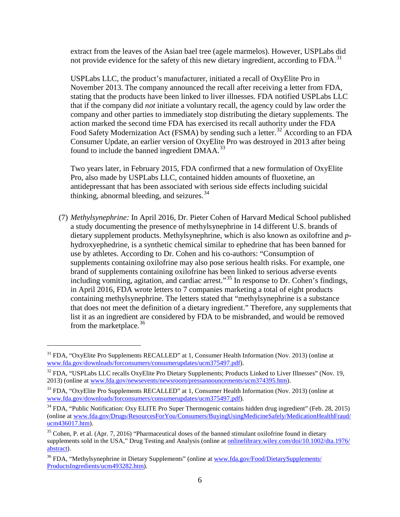extract from the leaves of the Asian bael tree (agele marmelos). However, USPLabs did not provide evidence for the safety of this new dietary ingredient, according to  $FDA$ .<sup>[31](#page-5-0)</sup>

USPLabs LLC, the product's manufacturer, initiated a recall of OxyElite Pro in November 2013. The company announced the recall after receiving a letter from FDA, stating that the products have been linked to liver illnesses. FDA notified USPLabs LLC that if the company did *not* initiate a voluntary recall, the agency could by law order the company and other parties to immediately stop distributing the dietary supplements. The action marked the second time FDA has exercised its recall authority under the FDA Food Safety Modernization Act (FSMA) by sending such a letter.<sup>[32](#page-5-1)</sup> According to an FDA Consumer Update, an earlier version of OxyElite Pro was destroyed in 2013 after being found to include the banned ingredient  $DMAA$ <sup>[33](#page-5-2)</sup>

Two years later, in February 2015, FDA confirmed that a new formulation of OxyElite Pro, also made by USPLabs LLC, contained hidden amounts of fluoxetine, an antidepressant that has been associated with serious side effects including suicidal thinking, abnormal bleeding, and seizures. $34$ 

(7) *Methylsynephrine:* In April 2016, Dr. Pieter Cohen of Harvard Medical School published a study documenting the presence of methylsynephrine in 14 different U.S. brands of dietary supplement products. Methylsynephrine, which is also known as oxilofrine and *p*hydroxyephedrine, is a synthetic chemical similar to ephedrine that has been banned for use by athletes. According to Dr. Cohen and his co-authors: "Consumption of supplements containing oxilofrine may also pose serious health risks. For example, one brand of supplements containing oxilofrine has been linked to serious adverse events including vomiting, agitation, and cardiac arrest."[35](#page-5-4) In response to Dr. Cohen's findings, in April 2016, FDA wrote letters to 7 companies marketing a total of eight products containing methylsynephrine. The letters stated that "methylsynephrine is a substance that does not meet the definition of a dietary ingredient." Therefore, any supplements that list it as an ingredient are considered by FDA to be misbranded, and would be removed from the marketplace.  $36$ 

<span id="page-5-0"></span><sup>&</sup>lt;sup>31</sup> FDA, "OxyElite Pro Supplements RECALLED" at 1, Consumer Health Information (Nov. 2013) (online at [www.fda.gov/downloads/forconsumers/consumerupdates/ucm375497.pdf\)](http://www.fda.gov/downloads/forconsumers/consumerupdates/ucm375497.pdf).

<span id="page-5-1"></span><sup>&</sup>lt;sup>32</sup> FDA, "USPLabs LLC recalls OxyElite Pro Dietary Supplements; Products Linked to Liver Illnesses" (Nov. 19, 2013) (online at [www.fda.gov/newsevents/newsroom/pressannouncements/ucm374395.htm\)](http://www.fda.gov/newsevents/newsroom/pressannouncements/ucm374395.htm).

<span id="page-5-2"></span><sup>&</sup>lt;sup>33</sup> FDA, "OxyElite Pro Supplements RECALLED" at 1, Consumer Health Information (Nov. 2013) (online at [www.fda.gov/downloads/forconsumers/consumerupdates/ucm375497.pdf\)](http://www.fda.gov/downloads/forconsumers/consumerupdates/ucm375497.pdf).

<span id="page-5-3"></span><sup>&</sup>lt;sup>34</sup> FDA, "Public Notification: Oxy ELITE Pro Super Thermogenic contains hidden drug ingredient" (Feb. 28, 2015) (online at [www.fda.gov/Drugs/ResourcesForYou/Consumers/BuyingUsingMedicineSafely/MedicationHealthFraud/](http://www.fda.gov/Drugs/ResourcesForYou/Consumers/BuyingUsingMedicineSafely/MedicationHealthFraud/ucm436017.htm)  $ucm436017.html.$ 

<span id="page-5-4"></span> $35$  Cohen, P. et al. (Apr. 7, 2016) "Pharmaceutical doses of the banned stimulant oxilofrine found in dietary supplements sold in the USA," Drug Testing and Analysis (online at [onlinelibrary.wiley.com/doi/10.1002/dta.1976/](http://onlinelibrary.wiley.com/doi/10.1002/dta.1976/abstract) [abstract\)](http://onlinelibrary.wiley.com/doi/10.1002/dta.1976/abstract).

<span id="page-5-5"></span><sup>&</sup>lt;sup>36</sup> FDA, "Methylsynephrine in Dietary Supplements" (online a[t www.fda.gov/Food/DietarySupplements/](http://www.fda.gov/Food/DietarySupplements/ProductsIngredients/ucm493282.htm) [ProductsIngredients/ucm493282.htm\)](http://www.fda.gov/Food/DietarySupplements/ProductsIngredients/ucm493282.htm).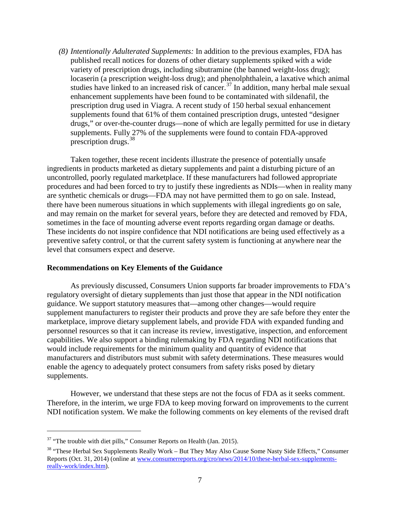*(8) Intentionally Adulterated Supplements:* In addition to the previous examples, FDA has published recall notices for dozens of other dietary supplements spiked with a wide variety of prescription drugs, including sibutramine (the banned weight-loss drug); locaserin (a prescription weight-loss drug); and phenolphthalein, a laxative which animal studies have linked to an increased risk of cancer.<sup>[37](#page-6-0)</sup> In addition, many herbal male sexual enhancement supplements have been found to be contaminated with sildenafil, the prescription drug used in Viagra. A recent study of 150 herbal sexual enhancement supplements found that 61% of them contained prescription drugs, untested "designer drugs," or over-the-counter drugs—none of which are legally permitted for use in dietary supplements. Fully 27% of the supplements were found to contain FDA-approved prescription drugs. [38](#page-6-1)

Taken together, these recent incidents illustrate the presence of potentially unsafe ingredients in products marketed as dietary supplements and paint a disturbing picture of an uncontrolled, poorly regulated marketplace. If these manufacturers had followed appropriate procedures and had been forced to try to justify these ingredients as NDIs—when in reality many are synthetic chemicals or drugs—FDA may not have permitted them to go on sale. Instead, there have been numerous situations in which supplements with illegal ingredients go on sale, and may remain on the market for several years, before they are detected and removed by FDA, sometimes in the face of mounting adverse event reports regarding organ damage or deaths. These incidents do not inspire confidence that NDI notifications are being used effectively as a preventive safety control, or that the current safety system is functioning at anywhere near the level that consumers expect and deserve.

#### **Recommendations on Key Elements of the Guidance**

As previously discussed, Consumers Union supports far broader improvements to FDA's regulatory oversight of dietary supplements than just those that appear in the NDI notification guidance. We support statutory measures that—among other changes—would require supplement manufacturers to register their products and prove they are safe before they enter the marketplace, improve dietary supplement labels, and provide FDA with expanded funding and personnel resources so that it can increase its review, investigative, inspection, and enforcement capabilities. We also support a binding rulemaking by FDA regarding NDI notifications that would include requirements for the minimum quality and quantity of evidence that manufacturers and distributors must submit with safety determinations. These measures would enable the agency to adequately protect consumers from safety risks posed by dietary supplements.

However, we understand that these steps are not the focus of FDA as it seeks comment. Therefore, in the interim, we urge FDA to keep moving forward on improvements to the current NDI notification system. We make the following comments on key elements of the revised draft

<span id="page-6-0"></span> $37$  "The trouble with diet pills," Consumer Reports on Health (Jan. 2015).

<span id="page-6-1"></span><sup>&</sup>lt;sup>38</sup> "These Herbal Sex Supplements Really Work – But They May Also Cause Some Nasty Side Effects," Consumer Reports (Oct. 31, 2014) (online a[t www.consumerreports.org/cro/news/2014/10/these-herbal-sex-supplements](http://www.consumerreports.org/cro/news/2014/10/these-herbal-sex-supplements-really-work/index.htm)[really-work/index.htm\)](http://www.consumerreports.org/cro/news/2014/10/these-herbal-sex-supplements-really-work/index.htm).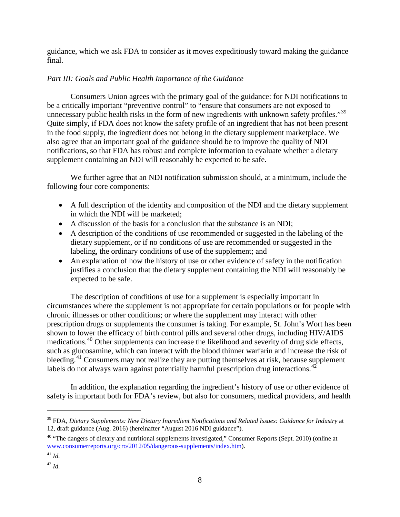guidance, which we ask FDA to consider as it moves expeditiously toward making the guidance final.

# *Part III: Goals and Public Health Importance of the Guidance*

Consumers Union agrees with the primary goal of the guidance: for NDI notifications to be a critically important "preventive control" to "ensure that consumers are not exposed to unnecessary public health risks in the form of new ingredients with unknown safety profiles."<sup>[39](#page-7-0)</sup> Quite simply, if FDA does not know the safety profile of an ingredient that has not been present in the food supply, the ingredient does not belong in the dietary supplement marketplace. We also agree that an important goal of the guidance should be to improve the quality of NDI notifications, so that FDA has robust and complete information to evaluate whether a dietary supplement containing an NDI will reasonably be expected to be safe.

We further agree that an NDI notification submission should, at a minimum, include the following four core components:

- A full description of the identity and composition of the NDI and the dietary supplement in which the NDI will be marketed;
- A discussion of the basis for a conclusion that the substance is an NDI;
- A description of the conditions of use recommended or suggested in the labeling of the dietary supplement, or if no conditions of use are recommended or suggested in the labeling, the ordinary conditions of use of the supplement; and
- An explanation of how the history of use or other evidence of safety in the notification justifies a conclusion that the dietary supplement containing the NDI will reasonably be expected to be safe.

The description of conditions of use for a supplement is especially important in circumstances where the supplement is not appropriate for certain populations or for people with chronic illnesses or other conditions; or where the supplement may interact with other prescription drugs or supplements the consumer is taking. For example, St. John's Wort has been shown to lower the efficacy of birth control pills and several other drugs, including HIV/AIDS medications.<sup>[40](#page-7-1)</sup> Other supplements can increase the likelihood and severity of drug side effects, such as glucosamine, which can interact with the blood thinner warfarin and increase the risk of bleeding.<sup>[41](#page-7-2)</sup> Consumers may not realize they are putting themselves at risk, because supplement labels do not always warn against potentially harmful prescription drug interactions. $42$ 

In addition, the explanation regarding the ingredient's history of use or other evidence of safety is important both for FDA's review, but also for consumers, medical providers, and health

<span id="page-7-0"></span><sup>39</sup> FDA, *Dietary Supplements: New Dietary Ingredient Notifications and Related Issues: Guidance for Industry* at 12, draft guidance (Aug. 2016) (hereinafter "August 2016 NDI guidance").

<span id="page-7-1"></span><sup>&</sup>lt;sup>40</sup> "The dangers of dietary and nutritional supplements investigated," Consumer Reports (Sept. 2010) (online at [www.consumerreports.org/cro/2012/05/dangerous-supplements/index.htm\)](http://www.consumerreports.org/cro/2012/05/dangerous-supplements/index.htm).

<span id="page-7-2"></span><sup>41</sup> *Id.*

<span id="page-7-3"></span><sup>42</sup> *Id.*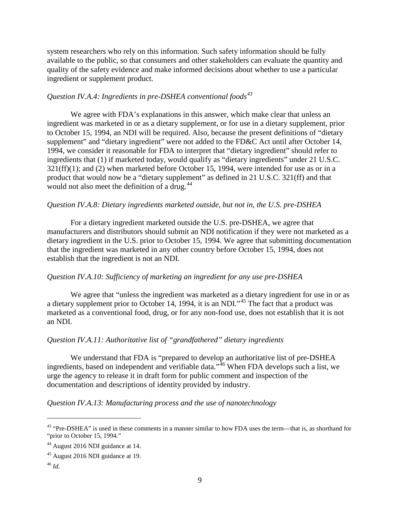system researchers who rely on this information. Such safety information should be fully available to the public, so that consumers and other stakeholders can evaluate the quantity and quality of the safety evidence and make informed decisions about whether to use a particular ingredient or supplement product.

## *Question IV.A.4: Ingredients in pre-DSHEA conventional foods[43](#page-8-0)*

We agree with FDA's explanations in this answer, which make clear that unless an ingredient was marketed in or as a dietary supplement, or for use in a dietary supplement, prior to October 15, 1994, an NDI will be required. Also, because the present definitions of "dietary supplement" and "dietary ingredient" were not added to the FD&C Act until after October 14, 1994, we consider it reasonable for FDA to interpret that "dietary ingredient" should refer to ingredients that (1) if marketed today, would qualify as "dietary ingredients" under 21 U.S.C.  $321(ff)(1)$ ; and (2) when marketed before October 15, 1994, were intended for use as or in a product that would now be a "dietary supplement" as defined in 21 U.S.C. 321(ff) and that would not also meet the definition of a drug.<sup>[44](#page-8-1)</sup>

## *Question IV.A.8: Dietary ingredients marketed outside, but not in, the U.S. pre-DSHEA*

For a dietary ingredient marketed outside the U.S. pre-DSHEA, we agree that manufacturers and distributors should submit an NDI notification if they were not marketed as a dietary ingredient in the U.S. prior to October 15, 1994. We agree that submitting documentation that the ingredient was marketed in any other country before October 15, 1994, does not establish that the ingredient is not an NDI.

# *Question IV.A.10: Sufficiency of marketing an ingredient for any use pre-DSHEA*

We agree that "unless the ingredient was marketed as a dietary ingredient for use in or as a dietary supplement prior to October 14, 1994, it is an NDI."[45](#page-8-2) The fact that a product was marketed as a conventional food, drug, or for any non-food use, does not establish that it is not an NDI.

#### *Question IV.A.11: Authoritative list of "grandfathered" dietary ingredients*

We understand that FDA is "prepared to develop an authoritative list of pre-DSHEA ingredients, based on independent and verifiable data."<sup>[46](#page-8-3)</sup> When FDA develops such a list, we urge the agency to release it in draft form for public comment and inspection of the documentation and descriptions of identity provided by industry.

#### *Question IV.A.13: Manufacturing process and the use of nanotechnology*

<span id="page-8-0"></span><sup>&</sup>lt;sup>43</sup> "Pre-DSHEA" is used in these comments in a manner similar to how FDA uses the term—that is, as shorthand for "prior to October 15, 1994."

<span id="page-8-1"></span><sup>44</sup> August 2016 NDI guidance at 14.

<span id="page-8-2"></span><sup>45</sup> August 2016 NDI guidance at 19.

<span id="page-8-3"></span><sup>46</sup> *Id.*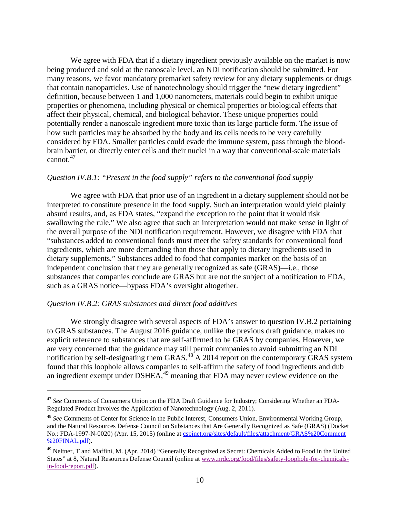We agree with FDA that if a dietary ingredient previously available on the market is now being produced and sold at the nanoscale level, an NDI notification should be submitted. For many reasons, we favor mandatory premarket safety review for any dietary supplements or drugs that contain nanoparticles. Use of nanotechnology should trigger the "new dietary ingredient" definition, because between 1 and 1,000 nanometers, materials could begin to exhibit unique properties or phenomena, including physical or chemical properties or biological effects that affect their physical, chemical, and biological behavior. These unique properties could potentially render a nanoscale ingredient more toxic than its large particle form. The issue of how such particles may be absorbed by the body and its cells needs to be very carefully considered by FDA. Smaller particles could evade the immune system, pass through the bloodbrain barrier, or directly enter cells and their nuclei in a way that conventional-scale materials cannot.[47](#page-9-0)

# *Question IV.B.1: "Present in the food supply" refers to the conventional food supply*

We agree with FDA that prior use of an ingredient in a dietary supplement should not be interpreted to constitute presence in the food supply. Such an interpretation would yield plainly absurd results, and, as FDA states, "expand the exception to the point that it would risk swallowing the rule." We also agree that such an interpretation would not make sense in light of the overall purpose of the NDI notification requirement. However, we disagree with FDA that "substances added to conventional foods must meet the safety standards for conventional food ingredients, which are more demanding than those that apply to dietary ingredients used in dietary supplements." Substances added to food that companies market on the basis of an independent conclusion that they are generally recognized as safe (GRAS)—i.e., those substances that companies conclude are GRAS but are not the subject of a notification to FDA, such as a GRAS notice—bypass FDA's oversight altogether.

#### *Question IV.B.2: GRAS substances and direct food additives*

 $\overline{a}$ 

We strongly disagree with several aspects of FDA's answer to question IV.B.2 pertaining to GRAS substances. The August 2016 guidance, unlike the previous draft guidance, makes no explicit reference to substances that are self-affirmed to be GRAS by companies. However, we are very concerned that the guidance may still permit companies to avoid submitting an NDI notification by self-designating them  $GRAS$ .<sup>[48](#page-9-1)</sup> A 2014 report on the contemporary GRAS system found that this loophole allows companies to self-affirm the safety of food ingredients and dub an ingredient exempt under DSHEA, $49$  meaning that FDA may never review evidence on the

<span id="page-9-0"></span><sup>47</sup> *See* Comments of Consumers Union on the FDA Draft Guidance for Industry; Considering Whether an FDA-Regulated Product Involves the Application of Nanotechnology (Aug. 2, 2011).

<span id="page-9-1"></span><sup>48</sup> *See* Comments of Center for Science in the Public Interest, Consumers Union, Environmental Working Group, and the Natural Resources Defense Council on Substances that Are Generally Recognized as Safe (GRAS) (Docket No.: FDA-1997-N-0020) (Apr. 15, 2015) (online at [cspinet.org/sites/default/files/attachment/GRAS%20Comment](https://cspinet.org/sites/default/files/attachment/GRAS%20Comment%20FINAL.pdf) [%20FINAL.pdf\)](https://cspinet.org/sites/default/files/attachment/GRAS%20Comment%20FINAL.pdf).

<span id="page-9-2"></span> $49$  Neltner, T and Maffini, M. (Apr. 2014) "Generally Recognized as Secret: Chemicals Added to Food in the United States" at 8, Natural Resources Defense Council (online a[t www.nrdc.org/food/files/safety-loophole-for-chemicals](http://www.nrdc.org/food/files/safety-loophole-for-chemicals-in-food-report.pdf)[in-food-report.pdf\)](http://www.nrdc.org/food/files/safety-loophole-for-chemicals-in-food-report.pdf).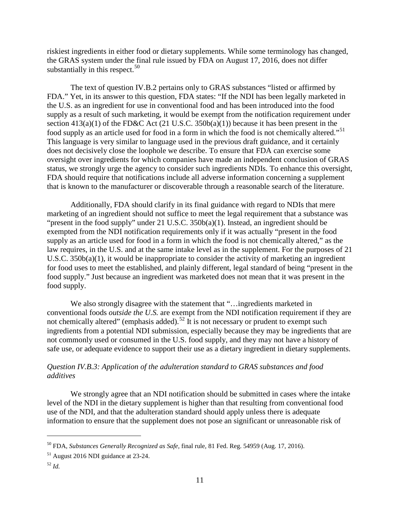riskiest ingredients in either food or dietary supplements. While some terminology has changed, the GRAS system under the final rule issued by FDA on August 17, 2016, does not differ substantially in this respect.  $50$ 

The text of question IV.B.2 pertains only to GRAS substances "listed or affirmed by FDA." Yet, in its answer to this question, FDA states: "If the NDI has been legally marketed in the U.S. as an ingredient for use in conventional food and has been introduced into the food supply as a result of such marketing, it would be exempt from the notification requirement under section  $413(a)(1)$  of the FD&C Act (21 U.S.C. 350b(a)(1)) because it has been present in the food supply as an article used for food in a form in which the food is not chemically altered."<sup>[51](#page-10-1)</sup> This language is very similar to language used in the previous draft guidance, and it certainly does not decisively close the loophole we describe. To ensure that FDA can exercise some oversight over ingredients for which companies have made an independent conclusion of GRAS status, we strongly urge the agency to consider such ingredients NDIs. To enhance this oversight, FDA should require that notifications include all adverse information concerning a supplement that is known to the manufacturer or discoverable through a reasonable search of the literature.

Additionally, FDA should clarify in its final guidance with regard to NDIs that mere marketing of an ingredient should not suffice to meet the legal requirement that a substance was "present in the food supply" under 21 U.S.C. 350b(a)(1). Instead, an ingredient should be exempted from the NDI notification requirements only if it was actually "present in the food supply as an article used for food in a form in which the food is not chemically altered," as the law requires, in the U.S. and at the same intake level as in the supplement. For the purposes of 21 U.S.C. 350b(a)(1), it would be inappropriate to consider the activity of marketing an ingredient for food uses to meet the established, and plainly different, legal standard of being "present in the food supply." Just because an ingredient was marketed does not mean that it was present in the food supply.

We also strongly disagree with the statement that "...ingredients marketed in conventional foods *outside the U.S.* are exempt from the NDI notification requirement if they are not chemically altered" (emphasis added).<sup>[52](#page-10-2)</sup> It is not necessary or prudent to exempt such ingredients from a potential NDI submission, especially because they may be ingredients that are not commonly used or consumed in the U.S. food supply, and they may not have a history of safe use, or adequate evidence to support their use as a dietary ingredient in dietary supplements.

# *Question IV.B.3: Application of the adulteration standard to GRAS substances and food additives*

We strongly agree that an NDI notification should be submitted in cases where the intake level of the NDI in the dietary supplement is higher than that resulting from conventional food use of the NDI, and that the adulteration standard should apply unless there is adequate information to ensure that the supplement does not pose an significant or unreasonable risk of

<span id="page-10-0"></span><sup>50</sup> FDA, *Substances Generally Recognized as Safe,* final rule, 81 Fed. Reg. 54959 (Aug. 17, 2016).

<span id="page-10-1"></span><sup>51</sup> August 2016 NDI guidance at 23-24.

<span id="page-10-2"></span><sup>52</sup> *Id.*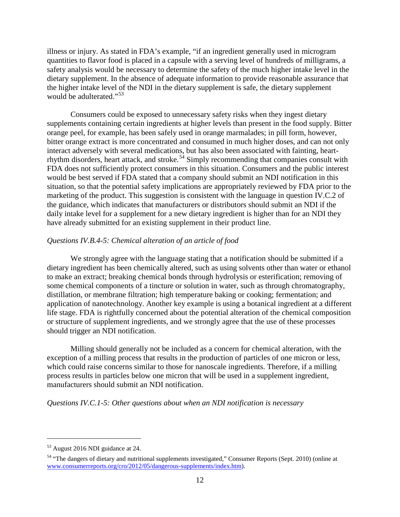illness or injury. As stated in FDA's example, "if an ingredient generally used in microgram quantities to flavor food is placed in a capsule with a serving level of hundreds of milligrams, a safety analysis would be necessary to determine the safety of the much higher intake level in the dietary supplement. In the absence of adequate information to provide reasonable assurance that the higher intake level of the NDI in the dietary supplement is safe, the dietary supplement would be adulterated."<sup>[53](#page-11-0)</sup>

Consumers could be exposed to unnecessary safety risks when they ingest dietary supplements containing certain ingredients at higher levels than present in the food supply. Bitter orange peel, for example, has been safely used in orange marmalades; in pill form, however, bitter orange extract is more concentrated and consumed in much higher doses, and can not only interact adversely with several medications, but has also been associated with fainting, heart-rhythm disorders, heart attack, and stroke.<sup>[54](#page-11-1)</sup> Simply recommending that companies consult with FDA does not sufficiently protect consumers in this situation. Consumers and the public interest would be best served if FDA stated that a company should submit an NDI notification in this situation, so that the potential safety implications are appropriately reviewed by FDA prior to the marketing of the product. This suggestion is consistent with the language in question IV.C.2 of the guidance, which indicates that manufacturers or distributors should submit an NDI if the daily intake level for a supplement for a new dietary ingredient is higher than for an NDI they have already submitted for an existing supplement in their product line.

# *Questions IV.B.4-5: Chemical alteration of an article of food*

We strongly agree with the language stating that a notification should be submitted if a dietary ingredient has been chemically altered, such as using solvents other than water or ethanol to make an extract; breaking chemical bonds through hydrolysis or esterification; removing of some chemical components of a tincture or solution in water, such as through chromatography, distillation, or membrane filtration; high temperature baking or cooking; fermentation; and application of nanotechnology. Another key example is using a botanical ingredient at a different life stage. FDA is rightfully concerned about the potential alteration of the chemical composition or structure of supplement ingredients, and we strongly agree that the use of these processes should trigger an NDI notification.

Milling should generally not be included as a concern for chemical alteration, with the exception of a milling process that results in the production of particles of one micron or less, which could raise concerns similar to those for nanoscale ingredients. Therefore, if a milling process results in particles below one micron that will be used in a supplement ingredient, manufacturers should submit an NDI notification.

# *Questions IV.C.1-5: Other questions about when an NDI notification is necessary*

<span id="page-11-0"></span><sup>53</sup> August 2016 NDI guidance at 24.

<span id="page-11-1"></span><sup>&</sup>lt;sup>54</sup> "The dangers of dietary and nutritional supplements investigated," Consumer Reports (Sept. 2010) (online at [www.consumerreports.org/cro/2012/05/dangerous-supplements/index.htm\)](http://www.consumerreports.org/cro/2012/05/dangerous-supplements/index.htm).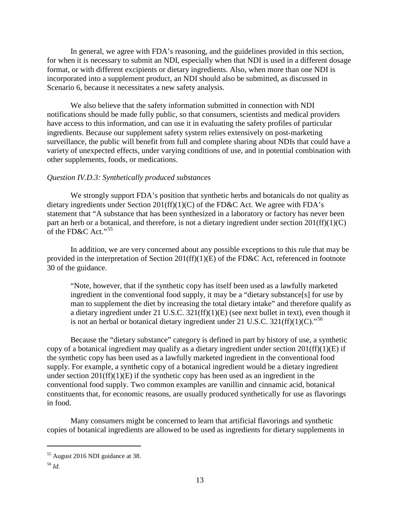In general, we agree with FDA's reasoning, and the guidelines provided in this section, for when it is necessary to submit an NDI, especially when that NDI is used in a different dosage format, or with different excipients or dietary ingredients. Also, when more than one NDI is incorporated into a supplement product, an NDI should also be submitted, as discussed in Scenario 6, because it necessitates a new safety analysis.

We also believe that the safety information submitted in connection with NDI notifications should be made fully public, so that consumers, scientists and medical providers have access to this information, and can use it in evaluating the safety profiles of particular ingredients. Because our supplement safety system relies extensively on post-marketing surveillance, the public will benefit from full and complete sharing about NDIs that could have a variety of unexpected effects, under varying conditions of use, and in potential combination with other supplements, foods, or medications.

#### *Question IV.D.3: Synthetically produced substances*

We strongly support FDA's position that synthetic herbs and botanicals do not quality as dietary ingredients under Section 201(ff)(1)(C) of the FD&C Act. We agree with FDA's statement that "A substance that has been synthesized in a laboratory or factory has never been part an herb or a botanical, and therefore, is not a dietary ingredient under section  $201(ff)(1)(C)$ of the  $FD&C$  Act."<sup>[55](#page-12-0)</sup>

In addition, we are very concerned about any possible exceptions to this rule that may be provided in the interpretation of Section 201(ff)(1)(E) of the FD&C Act, referenced in footnote 30 of the guidance.

"Note, however, that if the synthetic copy has itself been used as a lawfully marketed ingredient in the conventional food supply, it may be a "dietary substance[s] for use by man to supplement the diet by increasing the total dietary intake" and therefore qualify as a dietary ingredient under 21 U.S.C. 321(ff)(1)(E) (see next bullet in text), even though it is not an herbal or botanical dietary ingredient under 21 U.S.C.  $321(ff)(1)(C)$ ."<sup>[56](#page-12-1)</sup>

Because the "dietary substance" category is defined in part by history of use, a synthetic copy of a botanical ingredient may qualify as a dietary ingredient under section  $201(ff)(1)(E)$  if the synthetic copy has been used as a lawfully marketed ingredient in the conventional food supply. For example, a synthetic copy of a botanical ingredient would be a dietary ingredient under section  $201(ff)(1)(E)$  if the synthetic copy has been used as an ingredient in the conventional food supply. Two common examples are vanillin and cinnamic acid, botanical constituents that, for economic reasons, are usually produced synthetically for use as flavorings in food.

Many consumers might be concerned to learn that artificial flavorings and synthetic copies of botanical ingredients are allowed to be used as ingredients for dietary supplements in

<span id="page-12-0"></span><sup>55</sup> August 2016 NDI guidance at 38.

<span id="page-12-1"></span><sup>56</sup> *Id.*